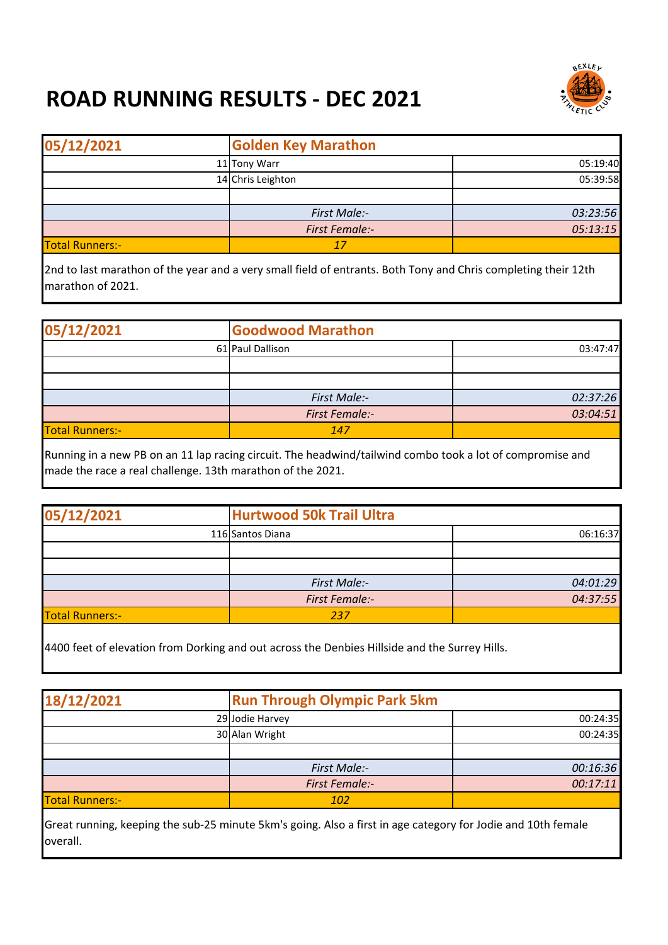## **ROAD RUNNING RESULTS - DEC 2021**



| 05/12/2021             | <b>Golden Key Marathon</b> |          |
|------------------------|----------------------------|----------|
|                        | 11 Tony Warr               | 05:19:40 |
|                        | 14 Chris Leighton          | 05:39:58 |
|                        |                            |          |
|                        | First Male:-               | 03:23:56 |
|                        | <b>First Female:-</b>      | 05:13:15 |
| <b>Total Runners:-</b> | 17                         |          |

2nd to last marathon of the year and a very small field of entrants. Both Tony and Chris completing their 12th marathon of 2021.

| 05/12/2021             | <b>Goodwood Marathon</b> |          |
|------------------------|--------------------------|----------|
|                        | 61 Paul Dallison         | 03:47:47 |
|                        |                          |          |
|                        |                          |          |
|                        | First Male:-             | 02:37:26 |
|                        | <b>First Female:-</b>    | 03:04:51 |
| <b>Total Runners:-</b> | 147                      |          |

Running in a new PB on an 11 lap racing circuit. The headwind/tailwind combo took a lot of compromise and made the race a real challenge. 13th marathon of the 2021.

| 05/12/2021             | <b>Hurtwood 50k Trail Ultra</b> |          |
|------------------------|---------------------------------|----------|
|                        | 116 Santos Diana                | 06:16:37 |
|                        |                                 |          |
|                        |                                 |          |
|                        | First Male:-                    | 04:01:29 |
|                        | <b>First Female:-</b>           | 04:37:55 |
| <b>Total Runners:-</b> | 237                             |          |

4400 feet of elevation from Dorking and out across the Denbies Hillside and the Surrey Hills.

|                       | <b>Run Through Olympic Park 5km</b> |  |
|-----------------------|-------------------------------------|--|
| 29 Jodie Harvey       | 00:24:35                            |  |
| 30 Alan Wright        | 00:24:35                            |  |
|                       |                                     |  |
| First Male:-          | 00:16:36                            |  |
| <b>First Female:-</b> | 00:17:11                            |  |
| 102                   |                                     |  |
|                       |                                     |  |

Great running, keeping the sub-25 minute 5km's going. Also a first in age category for Jodie and 10th female overall.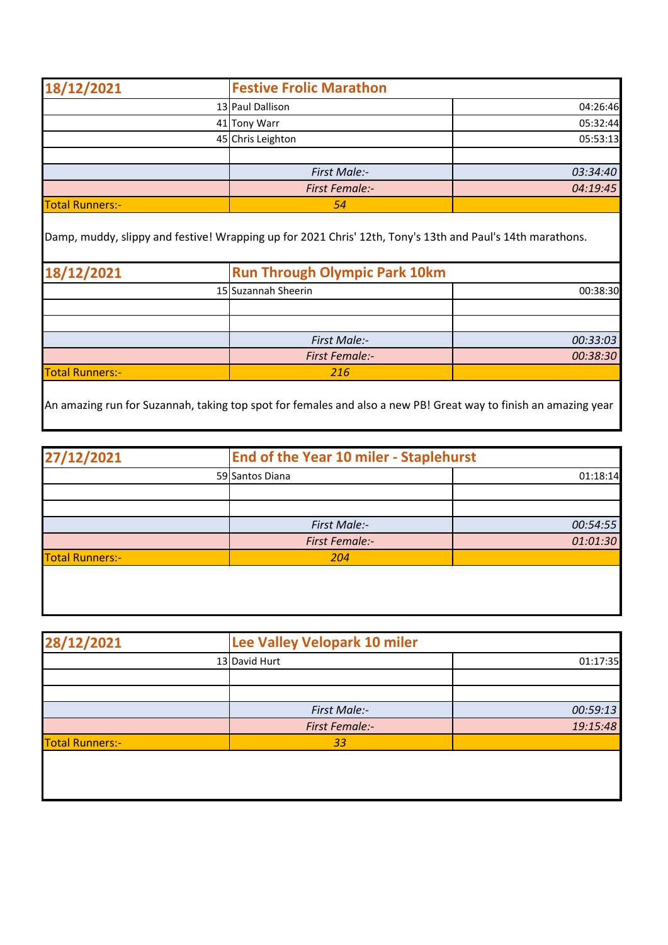| 18/12/2021             | <b>Festive Frolic Marathon</b> |          |
|------------------------|--------------------------------|----------|
|                        | 13 Paul Dallison               | 04:26:46 |
|                        | 41 Tony Warr                   | 05:32:44 |
|                        | 45 Chris Leighton              | 05:53:13 |
|                        |                                |          |
|                        | <b>First Male:-</b>            | 03:34:40 |
|                        | <b>First Female:-</b>          | 04:19:45 |
| <b>Total Runners:-</b> | 54                             |          |

Damp, muddy, slippy and festive! Wrapping up for 2021 Chris' 12th, Tony's 13th and Paul's 14th marathons.

| 18/12/2021             | <b>Run Through Olympic Park 10km</b> |          |
|------------------------|--------------------------------------|----------|
|                        | 15 Suzannah Sheerin                  | 00:38:30 |
|                        |                                      |          |
|                        |                                      |          |
|                        | <b>First Male:-</b>                  | 00:33:03 |
|                        | <b>First Female:-</b>                | 00:38:30 |
| <b>Total Runners:-</b> | 216                                  |          |

An amazing run for Suzannah, taking top spot for females and also a new PB! Great way to finish an amazing year

| 27/12/2021             | <b>End of the Year 10 miler - Staplehurst</b> |          |
|------------------------|-----------------------------------------------|----------|
|                        | 59 Santos Diana                               | 01:18:14 |
|                        |                                               |          |
|                        |                                               |          |
|                        | First Male:-                                  | 00:54:55 |
|                        | <b>First Female:-</b>                         | 01:01:30 |
| <b>Total Runners:-</b> | 204                                           |          |
|                        |                                               |          |

| 28/12/2021             | Lee Valley Velopark 10 miler |          |
|------------------------|------------------------------|----------|
|                        | 13 David Hurt                | 01:17:35 |
|                        |                              |          |
|                        |                              |          |
|                        | First Male:-                 | 00:59:13 |
|                        | <b>First Female:-</b>        | 19:15:48 |
| <b>Total Runners:-</b> | 33                           |          |
|                        |                              |          |
|                        |                              |          |
|                        |                              |          |